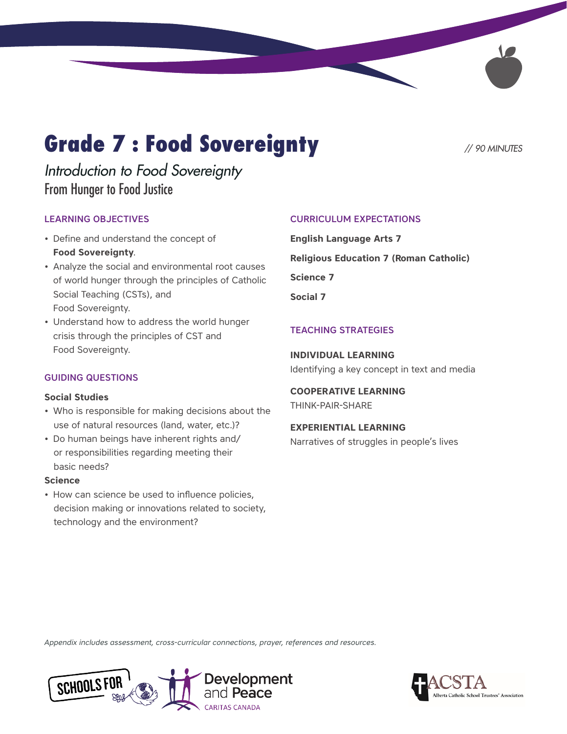# **Grade 7 : Food Sovereignty** // 90 MINUTES

## *Introduction to Food Sovereignty* From Hunger to Food Justice

### LEARNING OBJECTIVES

- Define and understand the concept of **Food Sovereignty**.
- Analyze the social and environmental root causes of world hunger through the principles of Catholic Social Teaching (CSTs), and Food Sovereignty.
- Understand how to address the world hunger crisis through the principles of CST and Food Sovereignty.

### GUIDING QUESTIONS

### **Social Studies**

- Who is responsible for making decisions about the use of natural resources (land, water, etc.)?
- Do human beings have inherent rights and/ or responsibilities regarding meeting their basic needs?

### **Science**

• How can science be used to influence policies, decision making or innovations related to society, technology and the environment?

### CURRICULUM EXPECTATIONS

**English Language Arts 7 Religious Education 7 (Roman Catholic) Science 7 Social 7**

### TEACHING STRATEGIES

**INDIVIDUAL LEARNING** Identifying a key concept in text and media

**COOPERATIVE LEARNING**  THINK-PAIR-SHARE

**EXPERIENTIAL LEARNING** Narratives of struggles in people's lives

*Appendix includes assessment, cross-curricular connections, prayer, references and resources.*



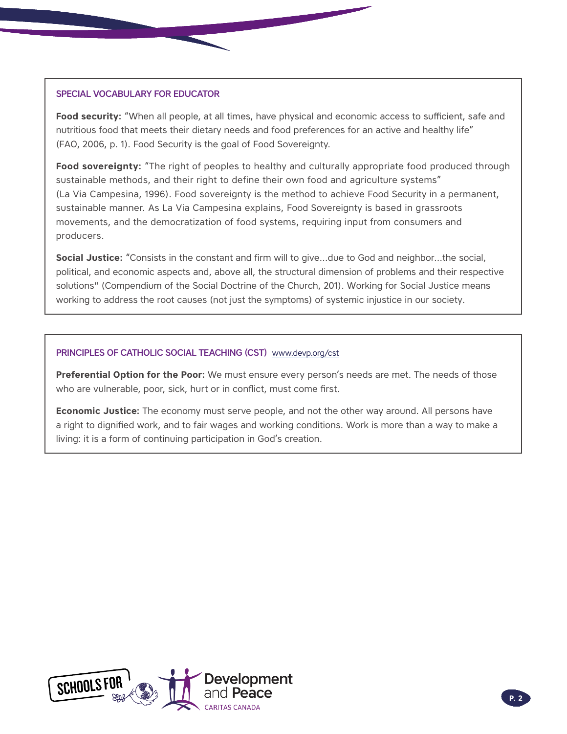### SPECIAL VOCABULARY FOR EDUCATOR

Food security: "When all people, at all times, have physical and economic access to sufficient, safe and nutritious food that meets their dietary needs and food preferences for an active and healthy life" (FAO, 2006, p. 1). Food Security is the goal of Food Sovereignty.

**Food sovereignty:** "The right of peoples to healthy and culturally appropriate food produced through sustainable methods, and their right to define their own food and agriculture systems" (La Via Campesina, 1996). Food sovereignty is the method to achieve Food Security in a permanent, sustainable manner. As La Via Campesina explains, Food Sovereignty is based in grassroots movements, and the democratization of food systems, requiring input from consumers and producers.

**Social Justice:** "Consists in the constant and firm will to give…due to God and neighbor…the social, political, and economic aspects and, above all, the structural dimension of problems and their respective solutions" (Compendium of the Social Doctrine of the Church, 201). Working for Social Justice means working to address the root causes (not just the symptoms) of systemic injustice in our society.

### PRINCIPLES OF CATHOLIC SOCIAL TEACHING (CST) [www.devp.org/cst](http://www.devp.org/cst)

**Preferential Option for the Poor:** We must ensure every person's needs are met. The needs of those who are vulnerable, poor, sick, hurt or in conflict, must come first.

**Economic Justice:** The economy must serve people, and not the other way around. All persons have a right to dignified work, and to fair wages and working conditions. Work is more than a way to make a living: it is a form of continuing participation in God's creation.

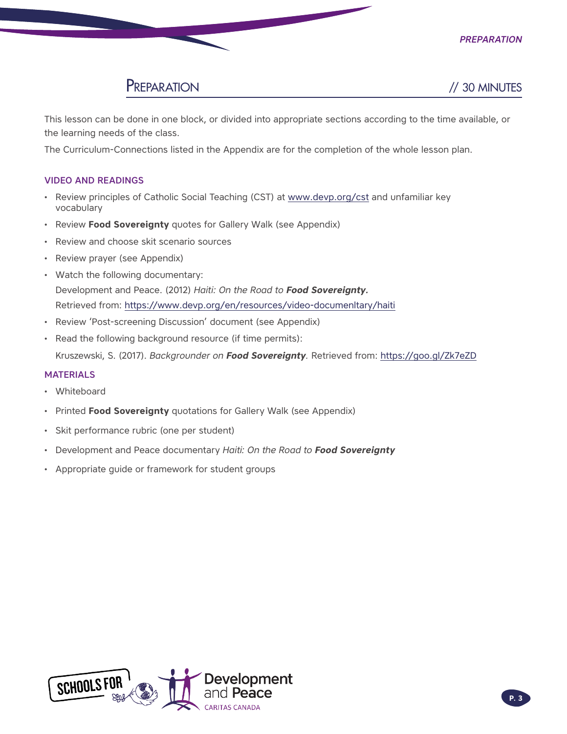

## PREPARATION // 30 MINUTES

This lesson can be done in one block, or divided into appropriate sections according to the time available, or the learning needs of the class.

The Curriculum-Connections listed in the Appendix are for the completion of the whole lesson plan.

### VIDEO AND READINGS

- Review principles of Catholic Social Teaching (CST) at [www.devp.org/cst](http://www.devp.org/cst) and unfamiliar key vocabulary
- Review **Food Sovereignty** quotes for Gallery Walk (see Appendix)
- Review and choose skit scenario sources
- Review prayer (see Appendix)
- Watch the following documentary: Development and Peace. (2012) *Haiti: On the Road to Food Sovereignty.* Retrieved from: <https://www.devp.org/en/resources/video-documenltary/haiti>
- Review 'Post-screening Discussion' document (see Appendix)
- Read the following background resource (if time permits): Kruszewski, S. (2017). *Backgrounder on Food Sovereignty.* Retrieved from: <https://goo.gl/Zk7eZD>

### MATERIALS

- **Whiteboard**
- Printed **Food Sovereignty** quotations for Gallery Walk (see Appendix)
- Skit performance rubric (one per student)
- Development and Peace documentary *Haiti: On the Road to Food Sovereignty*
- Appropriate guide or framework for student groups

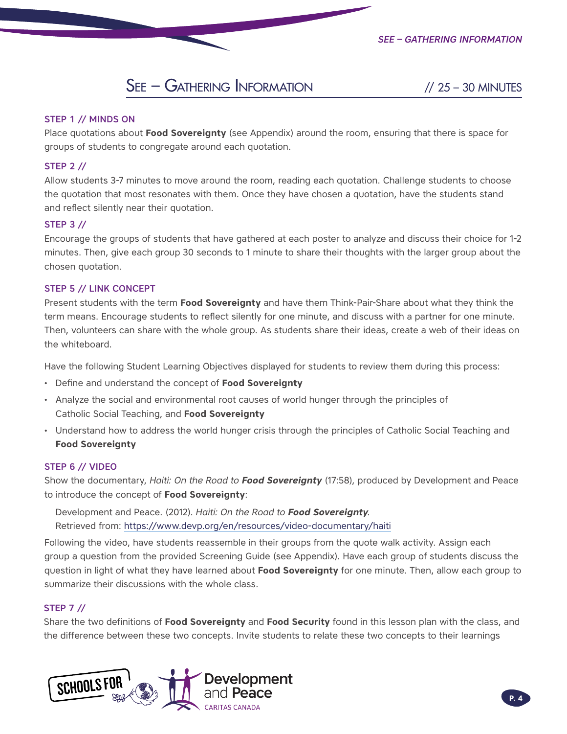## See – Gathering Information // 25 – 30 MINUTES

### STEP 1 // MINDS ON

Place quotations about **Food Sovereignty** (see Appendix) around the room, ensuring that there is space for groups of students to congregate around each quotation.

### STEP 2 //

Allow students 3-7 minutes to move around the room, reading each quotation. Challenge students to choose the quotation that most resonates with them. Once they have chosen a quotation, have the students stand and reflect silently near their quotation.

### STEP 3 //

Encourage the groups of students that have gathered at each poster to analyze and discuss their choice for 1-2 minutes. Then, give each group 30 seconds to 1 minute to share their thoughts with the larger group about the chosen quotation.

### STEP 5 // LINK CONCEPT

Present students with the term **Food Sovereignty** and have them Think-Pair-Share about what they think the term means. Encourage students to reflect silently for one minute, and discuss with a partner for one minute. Then, volunteers can share with the whole group. As students share their ideas, create a web of their ideas on the whiteboard.

Have the following Student Learning Objectives displayed for students to review them during this process:

- Define and understand the concept of **Food Sovereignty**
- Analyze the social and environmental root causes of world hunger through the principles of Catholic Social Teaching, and **Food Sovereignty**
- Understand how to address the world hunger crisis through the principles of Catholic Social Teaching and **Food Sovereignty**

### STEP 6 // VIDEO

Show the documentary, *Haiti: On the Road to Food Sovereignty* (17:58), produced by Development and Peace to introduce the concept of **Food Sovereignty**:

Development and Peace. (2012). *Haiti: On the Road to Food Sovereignty.*  Retrieved from: https://www.devp.org/en/resources/video-documentary/haiti

Following the video, have students reassemble in their groups from the quote walk activity. Assign each group a question from the provided Screening Guide (see Appendix). Have each group of students discuss the question in light of what they have learned about **Food Sovereignty** for one minute. Then, allow each group to summarize their discussions with the whole class.

### STEP 7 //

Share the two definitions of **Food Sovereignty** and **Food Security** found in this lesson plan with the class, and the difference between these two concepts. Invite students to relate these two concepts to their learnings

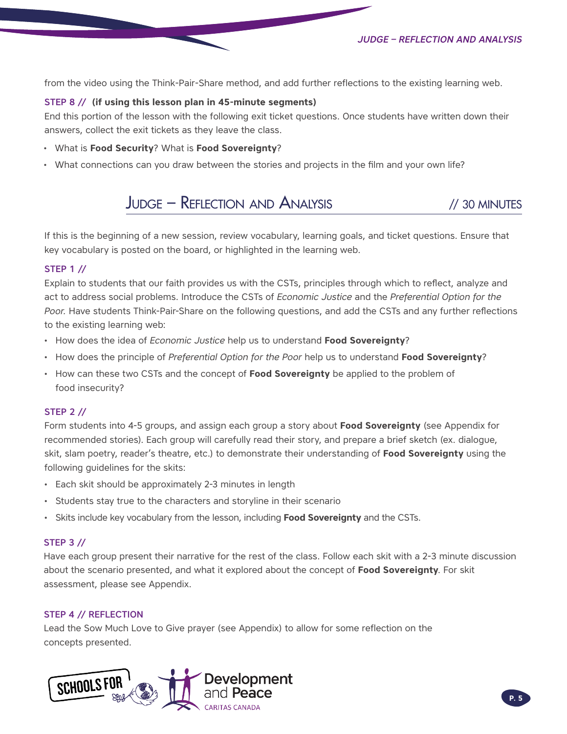*Judge – Reflection and Analysis*

from the video using the Think-Pair-Share method, and add further reflections to the existing learning web.

### STEP 8 // **(if using this lesson plan in 45-minute segments)**

End this portion of the lesson with the following exit ticket questions. Once students have written down their answers, collect the exit tickets as they leave the class.

- What is **Food Security**? What is **Food Sovereignty**?
- What connections can you draw between the stories and projects in the film and your own life?

## Judge – Reflection and Analysis // 30 MINUTES

If this is the beginning of a new session, review vocabulary, learning goals, and ticket questions. Ensure that key vocabulary is posted on the board, or highlighted in the learning web.

### STEP 1 //

Explain to students that our faith provides us with the CSTs, principles through which to reflect, analyze and act to address social problems. Introduce the CSTs of *Economic Justice* and the *Preferential Option for the Poor.* Have students Think-Pair-Share on the following questions, and add the CSTs and any further reflections to the existing learning web:

- How does the idea of *Economic Justice* help us to understand **Food Sovereignty**?
- How does the principle of *Preferential Option for the Poor* help us to understand **Food Sovereignty**?
- How can these two CSTs and the concept of **Food Sovereignty** be applied to the problem of food insecurity?

### STEP 2 //

Form students into 4-5 groups, and assign each group a story about **Food Sovereignty** (see Appendix for recommended stories). Each group will carefully read their story, and prepare a brief sketch (ex. dialogue, skit, slam poetry, reader's theatre, etc.) to demonstrate their understanding of **Food Sovereignty** using the following guidelines for the skits:

- Each skit should be approximately 2-3 minutes in length
- Students stay true to the characters and storyline in their scenario
- Skits include key vocabulary from the lesson, including **Food Sovereignty** and the CSTs.

### STEP 3 //

Have each group present their narrative for the rest of the class. Follow each skit with a 2-3 minute discussion about the scenario presented, and what it explored about the concept of **Food Sovereignty**. For skit assessment, please see Appendix.

### STEP 4 // REFLECTION

Lead the Sow Much Love to Give prayer (see Appendix) to allow for some reflection on the concepts presented.

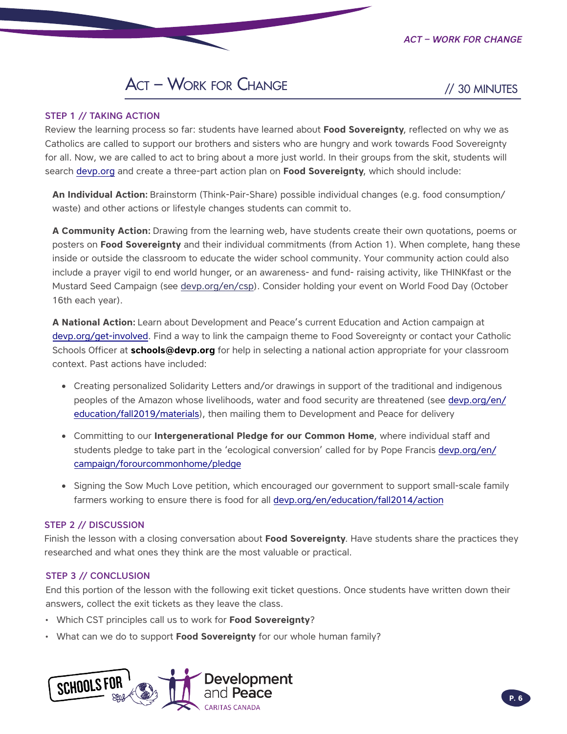*Act – Work for Change*

// 30 MINUTES

## **ACT - WORK FOR CHANGE**

### STEP 1 // TAKING ACTION

Review the learning process so far: students have learned about **Food Sovereignty**, reflected on why we as Catholics are called to support our brothers and sisters who are hungry and work towards Food Sovereignty for all. Now, we are called to act to bring about a more just world. In their groups from the skit, students will search [devp.org](http://devp.org) and create a three-part action plan on **Food Sovereignty**, which should include:

**An Individual Action:** Brainstorm (Think-Pair-Share) possible individual changes (e.g. food consumption/ waste) and other actions or lifestyle changes students can commit to.

**A Community Action:** Drawing from the learning web, have students create their own quotations, poems or posters on **Food Sovereignty** and their individual commitments (from Action 1). When complete, hang these inside or outside the classroom to educate the wider school community. Your community action could also include a prayer vigil to end world hunger, or an awareness- and fund- raising activity, like THINKfast or the Mustard Seed Campaign (see [devp.org/en/csp](https://www.devp.org/en/csp)). Consider holding your event on World Food Day (October 16th each year).

**A National Action:** Learn about Development and Peace's current Education and Action campaign at [devp.org/get-involved.](https://www.devp.org/en/get-involved) Find a way to link the campaign theme to Food Sovereignty or contact your Catholic Schools Officer at **schools@devp.org** for help in selecting a national action appropriate for your classroom context. Past actions have included:

- Creating personalized Solidarity Letters and/or drawings in support of the traditional and indigenous peoples of the Amazon whose livelihoods, water and food security are threatened (see [devp.org/en/](https://www.devp.org/en/education/fall2019/materials) [education/fall2019/materials\)](https://www.devp.org/en/education/fall2019/materials), then mailing them to Development and Peace for delivery
- Committing to our **Intergenerational Pledge for our Common Home**, where individual staff and students pledge to take part in the 'ecological conversion' called for by Pope Francis [devp.org/en/](https://www.devp.org/en/campaign/forourcommonhome/pledge) [campaign/forourcommonhome/pledge](https://www.devp.org/en/campaign/forourcommonhome/pledge)
- Signing the Sow Much Love petition, which encouraged our government to support small-scale family farmers working to ensure there is food for all [devp.org/en/education/fall2014/action](https://www.devp.org/en/education/fall2014/action)

### STEP 2 // DISCUSSION

Finish the lesson with a closing conversation about **Food Sovereignty**. Have students share the practices they researched and what ones they think are the most valuable or practical.

### STEP 3 // CONCLUSION

End this portion of the lesson with the following exit ticket questions. Once students have written down their answers, collect the exit tickets as they leave the class.

- Which CST principles call us to work for **Food Sovereignty**?
- What can we do to support **Food Sovereignty** for our whole human family?

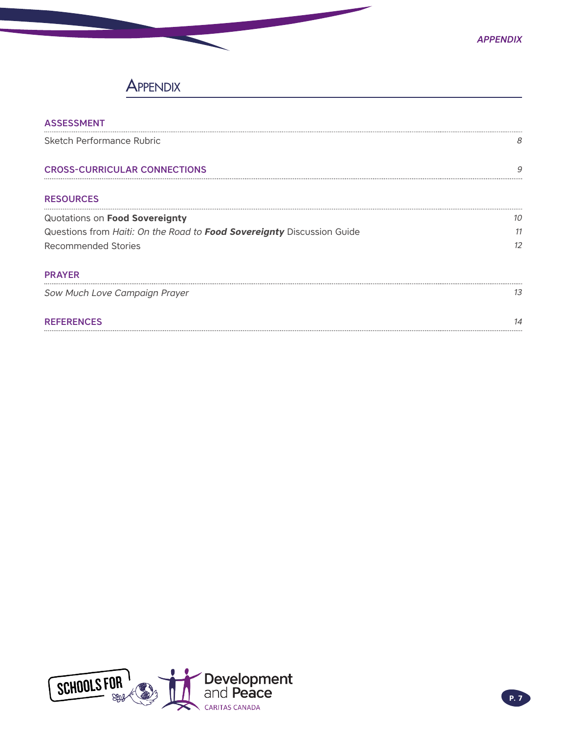## **APPENDIX**

| <b>ASSESSMENT</b>                                                      |           |
|------------------------------------------------------------------------|-----------|
| Sketch Performance Rubric                                              | 8         |
| <b>CROSS-CURRICULAR CONNECTIONS</b>                                    | 9         |
| <b>RESOURCES</b>                                                       |           |
| Quotations on Food Sovereignty                                         | 10        |
| Questions from Haiti: On the Road to Food Sovereignty Discussion Guide | 11        |
| Recommended Stories                                                    | 12        |
| <b>PRAYER</b>                                                          |           |
| Sow Much Love Campaign Prayer                                          | 13        |
| <b>REFERENCES</b>                                                      | $1\Delta$ |
|                                                                        |           |

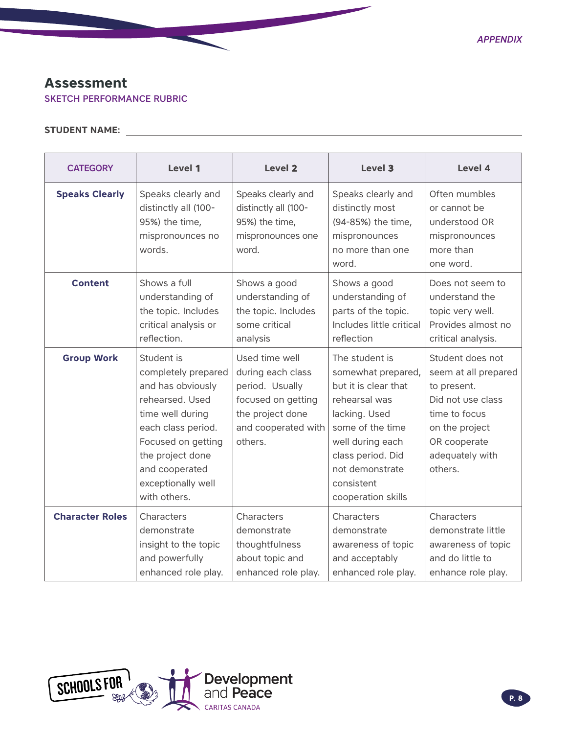### <span id="page-7-0"></span>**Assessment**

SKETCH PERFORMANCE RUBRIC

### **STUDENT NAME:**

| <b>CATEGORY</b>        | Level 1                                                                                                                                                                                                               | Level 2                                                                                                                            | Level 3                                                                                                                                                                                                            | Level 4                                                                                                                                                       |
|------------------------|-----------------------------------------------------------------------------------------------------------------------------------------------------------------------------------------------------------------------|------------------------------------------------------------------------------------------------------------------------------------|--------------------------------------------------------------------------------------------------------------------------------------------------------------------------------------------------------------------|---------------------------------------------------------------------------------------------------------------------------------------------------------------|
| <b>Speaks Clearly</b>  | Speaks clearly and<br>distinctly all (100-<br>95%) the time,<br>mispronounces no<br>words.                                                                                                                            | Speaks clearly and<br>distinctly all (100-<br>95%) the time,<br>mispronounces one<br>word.                                         | Speaks clearly and<br>distinctly most<br>(94-85%) the time,<br>mispronounces<br>no more than one<br>word.                                                                                                          | Often mumbles<br>or cannot be<br>understood OR<br>mispronounces<br>more than<br>one word.                                                                     |
| <b>Content</b>         | Shows a full<br>understanding of<br>the topic. Includes<br>critical analysis or<br>reflection.                                                                                                                        | Shows a good<br>understanding of<br>the topic. Includes<br>some critical<br>analysis                                               | Shows a good<br>understanding of<br>parts of the topic.<br>Includes little critical<br>reflection                                                                                                                  | Does not seem to<br>understand the<br>topic very well.<br>Provides almost no<br>critical analysis.                                                            |
| <b>Group Work</b>      | Student is<br>completely prepared<br>and has obviously<br>rehearsed. Used<br>time well during<br>each class period.<br>Focused on getting<br>the project done<br>and cooperated<br>exceptionally well<br>with others. | Used time well<br>during each class<br>period. Usually<br>focused on getting<br>the project done<br>and cooperated with<br>others. | The student is<br>somewhat prepared,<br>but it is clear that<br>rehearsal was<br>lacking. Used<br>some of the time<br>well during each<br>class period. Did<br>not demonstrate<br>consistent<br>cooperation skills | Student does not<br>seem at all prepared<br>to present.<br>Did not use class<br>time to focus<br>on the project<br>OR cooperate<br>adequately with<br>others. |
| <b>Character Roles</b> | Characters<br>demonstrate<br>insight to the topic<br>and powerfully<br>enhanced role play.                                                                                                                            | Characters<br>demonstrate<br>thoughtfulness<br>about topic and<br>enhanced role play.                                              | Characters<br>demonstrate<br>awareness of topic<br>and acceptably<br>enhanced role play.                                                                                                                           | Characters<br>demonstrate little<br>awareness of topic<br>and do little to<br>enhance role play.                                                              |

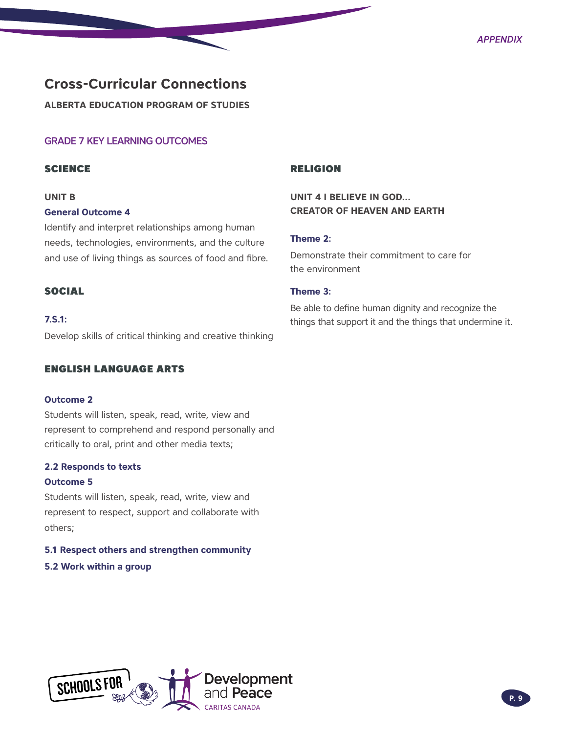### <span id="page-8-0"></span>**Cross-Curricular Connections**

**ALBERTA EDUCATION PROGRAM OF STUDIES** 

### GRADE 7 KEY LEARNING OUTCOMES

### **SCIENCE**

### **UNIT B**

#### **General Outcome 4**

Identify and interpret relationships among human needs, technologies, environments, and the culture and use of living things as sources of food and fibre.

### SOCIAL

### **7.S.1:**

Develop skills of critical thinking and creative thinking

### ENGLISH LANGUAGE ARTS

### **Outcome 2**

Students will listen, speak, read, write, view and represent to comprehend and respond personally and critically to oral, print and other media texts;

### **2.2 Responds to texts**

#### **Outcome 5**

Students will listen, speak, read, write, view and represent to respect, support and collaborate with others;

### **5.1 Respect others and strengthen community**

### **5.2 Work within a group**

### RELIGION

### **UNIT 4 I BELIEVE IN GOD... CREATOR OF HEAVEN AND EARTH**

### **Theme 2:**

Demonstrate their commitment to care for the environment

### **Theme 3:**

Be able to define human dignity and recognize the things that support it and the things that undermine it.

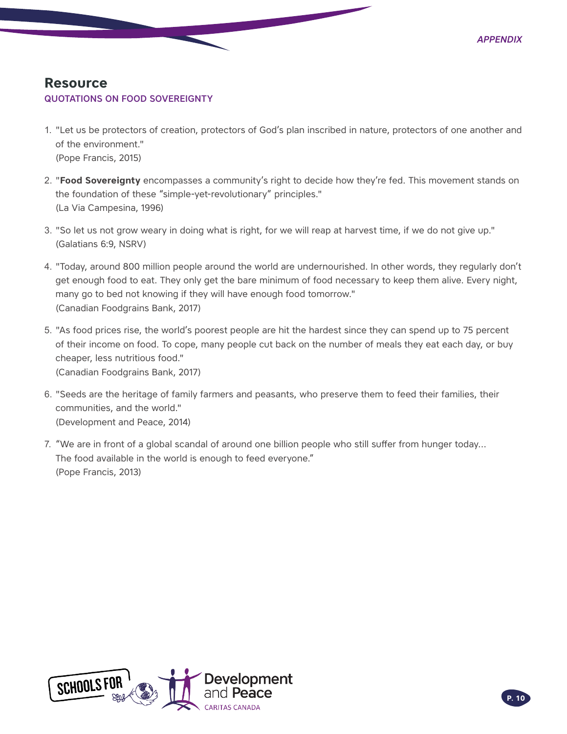### <span id="page-9-0"></span>**Resource** QUOTATIONS ON FOOD SOVEREIGNTY

- 1. "Let us be protectors of creation, protectors of God's plan inscribed in nature, protectors of one another and of the environment." (Pope Francis, 2015)
- 2. "**Food Sovereignty** encompasses a community's right to decide how they're fed. This movement stands on the foundation of these "simple-yet-revolutionary" principles." (La Via Campesina, 1996)
- 3. "So let us not grow weary in doing what is right, for we will reap at harvest time, if we do not give up." (Galatians 6:9, NSRV)
- 4. "Today, around 800 million people around the world are undernourished. In other words, they regularly don't get enough food to eat. They only get the bare minimum of food necessary to keep them alive. Every night, many go to bed not knowing if they will have enough food tomorrow." (Canadian Foodgrains Bank, 2017)
- 5. "As food prices rise, the world's poorest people are hit the hardest since they can spend up to 75 percent of their income on food. To cope, many people cut back on the number of meals they eat each day, or buy cheaper, less nutritious food." (Canadian Foodgrains Bank, 2017)
- 6. "Seeds are the heritage of family farmers and peasants, who preserve them to feed their families, their communities, and the world." (Development and Peace, 2014)
- 7. "We are in front of a global scandal of around one billion people who still suffer from hunger today… The food available in the world is enough to feed everyone." [\(Pope Francis,](http://devp.org) 2013)

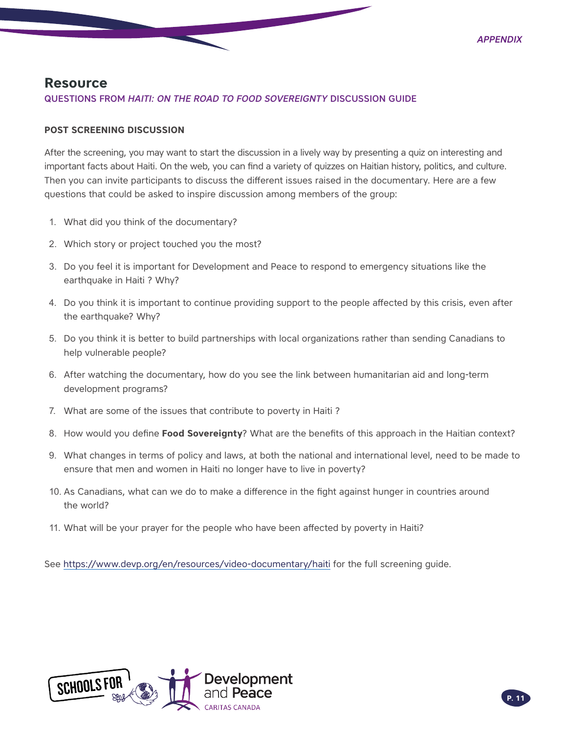### <span id="page-10-0"></span>**Resource**

### QUESTIONS FROM *HAITI: ON THE ROAD TO FOOD SOVEREI GNTY* DISCUSSION GUIDE

### **POST SCREENING DISCUSSION**

After the screening, you may want to start the discussion in a lively way by presenting a quiz on interesting and important facts about Haiti. On the web, you can find a variety of quizzes on Haitian history, politics, and culture. Then you can invite participants to discuss the different issues raised in the documentary. Here are a few questions that could be asked to inspire discussion among members of the group:

- 1. What did you think of the documentary?
- 2. Which story or project touched you the most?
- 3. Do you feel it is important for Development and Peace to respond to emergency situations like the earthquake in Haiti ? Why?
- 4. Do you think it is important to continue providing support to the people affected by this crisis, even after the earthquake? Why?
- 5. Do you think it is better to build partnerships with local organizations rather than sending Canadians to help vulnerable people?
- 6. After watching the documentary, how do you see the link between humanitarian aid and long-term development programs?
- 7. What are some of the issues that contribute to poverty in Haiti ?
- 8. How would you define **Food Sovereignty**? What are the benefits of this approach in the Haitian context?
- 9. What changes in terms of policy and laws, at both the national and international level, need to be made to ensure that men and women in Haiti no longer have to live in poverty?
- 10. As Canadians, what can we do to make a difference in the fight against hunger in countries around the world?
- 11. What will be your prayer for the people who have been affected by poverty in Haiti?

See <https://www.devp.org/en/resources/video-documentary/haiti>for the full screening guide.

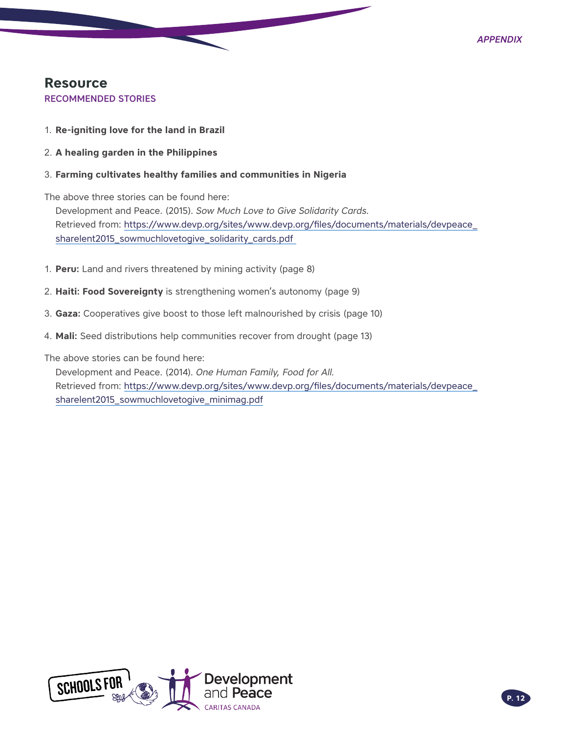## <span id="page-11-0"></span>**Resource**

RECOMMENDED STORIES

- 1. **Re-igniting love for the land in Brazil**
- 2. **A healing garden in the Philippines**
- 3. **Farming cultivates healthy families and communities in Nigeria**

The above three stories can be found here:

Development and Peace. (2015). *Sow Much Love to Give Solidarity Cards.* Retrieved from: [https://www.devp.org/sites/www.devp.org/files/documents/materials/devpeace\\_](https://www.devp.org/sites/www.devp.org/files/documents/materials/devpeace_sharelent2015_sowmuchlovetogive_solidarity_cards.pdf) [sharelent2015\\_sowmuchlovetogive\\_solidarity\\_cards.pdf](https://www.devp.org/sites/www.devp.org/files/documents/materials/devpeace_sharelent2015_sowmuchlovetogive_solidarity_cards.pdf)

- 1. **Peru:** Land and rivers threatened by mining activity (page 8)
- 2. **Haiti: Food Sovereignty** is strengthening women's autonomy (page 9)
- 3. **Gaza:** Cooperatives give boost to those left malnourished by crisis (page 10)
- 4. **Mali:** Seed distributions help communities recover from drought (page 13)

The above stories can be found here:

Development and Peace. (2014). *One Human Family, Food for All.*  Retrieved from: [https://www.devp.org/sites/www.devp.org/files/documents/materials/devpeace\\_](https://www.devp.org/sites/www.devp.org/files/documents/materials/devpeace_sharelent2015_sowmuchlovetogive_minimag.pdf) [sharelent2015\\_sowmuchlovetogive\\_minimag.pdf](https://www.devp.org/sites/www.devp.org/files/documents/materials/devpeace_sharelent2015_sowmuchlovetogive_minimag.pdf)

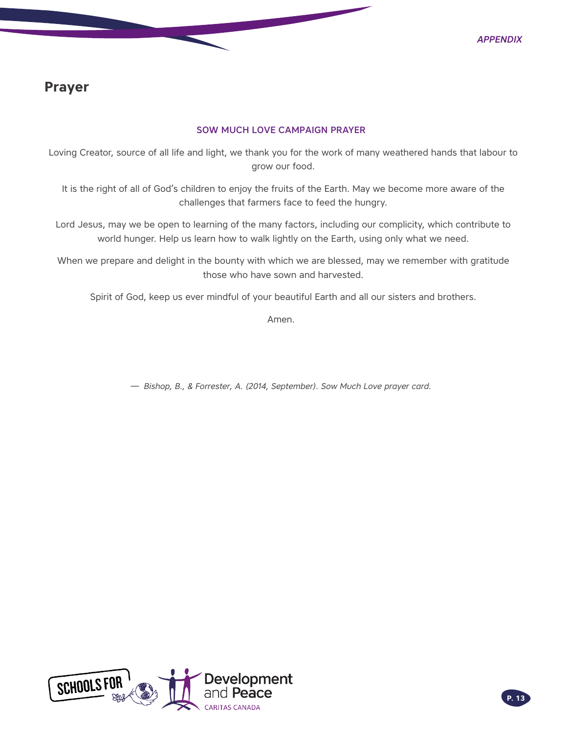### <span id="page-12-0"></span>**Prayer**

### SOW MUCH LOVE CAMPAIGN PRAYER

Loving Creator, source of all life and light, we thank you for the work of many weathered hands that labour to grow our food.

It is the right of all of God's children to enjoy the fruits of the Earth. May we become more aware of the challenges that farmers face to feed the hungry.

Lord Jesus, may we be open to learning of the many factors, including our complicity, which contribute to world hunger. Help us learn how to walk lightly on the Earth, using only what we need.

When we prepare and delight in the bounty with which we are blessed, may we remember with gratitude those who have sown and harvested.

Spirit of God, keep us ever mindful of your beautiful Earth and all our sisters and brothers.

Amen.

 $-$  Bishop, B., & Forrester, A. (2014, September). Sow Much Love prayer card.